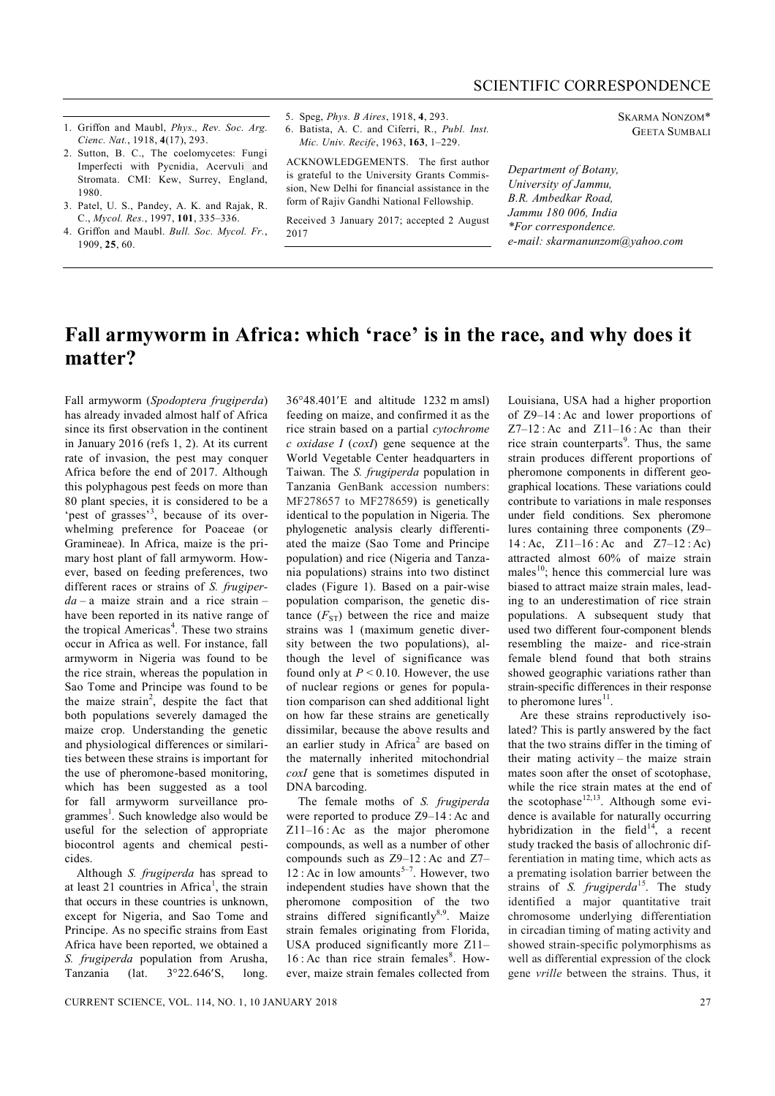- 1. Griffon and Maubl, *Phys., Rev. Soc. Arg. Cienc. Nat.*, 1918, **4**(17), 293.
- 2. Sutton, B. C., The coelomycetes: Fungi Imperfecti with Pycnidia, Acervuli and Stromata. CMI: Kew, Surrey, England, 1980.
- 3. Patel, U. S., Pandey, A. K. and Rajak, R. C., *Mycol. Res.*, 1997, **101**, 335–336.
- 4. Griffon and Maubl. *Bull. Soc. Mycol. Fr.*, 1909, **25**, 60.
- 5. Speg, *Phys. B Aires*, 1918, **4**, 293.
- 6. Batista, A. C. and Ciferri, R., *Publ. Inst. Mic. Univ. Recife*, 1963, **163**, 1–229.

ACKNOWLEDGEMENTS. The first author is grateful to the University Grants Commission, New Delhi for financial assistance in the form of Rajiv Gandhi National Fellowship.

Received 3 January 2017; accepted 2 August 2017

SKARMA NONZOM\* GEETA SUMBALI

*Department of Botany, University of Jammu, B.R. Ambedkar Road, Jammu 180 006, India \*For correspondence. e-mail: skarmanunzom@yahoo.com*

## **Fall armyworm in Africa: which 'race' is in the race, and why does it matter?**

Fall armyworm (*Spodoptera frugiperda*) has already invaded almost half of Africa since its first observation in the continent in January 2016 (refs 1, 2). At its current rate of invasion, the pest may conquer Africa before the end of 2017. Although this polyphagous pest feeds on more than 80 plant species, it is considered to be a 'pest of grasses'<sup>3</sup>, because of its overwhelming preference for Poaceae (or Gramineae). In Africa, maize is the primary host plant of fall armyworm. However, based on feeding preferences, two different races or strains of *S. frugiperda* – a maize strain and a rice strain – have been reported in its native range of the tropical Americas<sup>4</sup>. These two strains occur in Africa as well. For instance, fall armyworm in Nigeria was found to be the rice strain, whereas the population in Sao Tome and Principe was found to be the maize strain<sup>2</sup>, despite the fact that both populations severely damaged the maize crop. Understanding the genetic and physiological differences or similarities between these strains is important for the use of pheromone-based monitoring, which has been suggested as a tool for fall armyworm surveillance programmes<sup>1</sup>. Such knowledge also would be useful for the selection of appropriate biocontrol agents and chemical pesticides.

Although *S. frugiperda* has spread to at least 21 countries in Africa<sup>1</sup>, the strain that occurs in these countries is unknown, except for Nigeria, and Sao Tome and Principe. As no specific strains from East Africa have been reported, we obtained a *S. frugiperda* population from Arusha, Tanzania (lat.  $3°22.646'S$ , long.

3648.401E and altitude 1232 m amsl) feeding on maize, and confirmed it as the rice strain based on a partial *cytochrome c oxidase I* (*coxI*) gene sequence at the World Vegetable Center headquarters in Taiwan. The *S. frugiperda* population in Tanzania GenBank accession numbers: MF278657 to MF278659) is genetically identical to the population in Nigeria. The phylogenetic analysis clearly differentiated the maize (Sao Tome and Principe population) and rice (Nigeria and Tanzania populations) strains into two distinct clades (Figure 1). Based on a pair-wise population comparison, the genetic distance  $(F_{ST})$  between the rice and maize strains was 1 (maximum genetic diversity between the two populations), although the level of significance was found only at  $P \le 0.10$ . However, the use of nuclear regions or genes for population comparison can shed additional light on how far these strains are genetically dissimilar, because the above results and an earlier study in Africa<sup>2</sup> are based on the maternally inherited mitochondrial *coxI* gene that is sometimes disputed in DNA barcoding.

The female moths of *S. frugiperda*  were reported to produce Z9–14 : Ac and Z11–16 : Ac as the major pheromone compounds, as well as a number of other compounds such as Z9–12 : Ac and Z7– 12 : Ac in low amounts<sup>5-7</sup>. However, two independent studies have shown that the pheromone composition of the two strains differed significantly<sup>8,9</sup>. Maize strain females originating from Florida, USA produced significantly more Z11–  $16$ : Ac than rice strain females $8$ . However, maize strain females collected from

Louisiana, USA had a higher proportion of Z9–14 : Ac and lower proportions of  $Z7-12$ : Ac and  $Z11-16$ : Ac than their rice strain counterparts<sup>9</sup>. Thus, the same strain produces different proportions of pheromone components in different geographical locations. These variations could contribute to variations in male responses under field conditions. Sex pheromone lures containing three components (Z9– 14 : Ac, Z11–16 : Ac and Z7–12 : Ac) attracted almost 60% of maize strain males $^{10}$ ; hence this commercial lure was biased to attract maize strain males, leading to an underestimation of rice strain populations. A subsequent study that used two different four-component blends resembling the maize- and rice-strain female blend found that both strains showed geographic variations rather than strain-specific differences in their response to pheromone lures $^{11}$ .

Are these strains reproductively isolated? This is partly answered by the fact that the two strains differ in the timing of their mating activity – the maize strain mates soon after the onset of scotophase, while the rice strain mates at the end of the scotophase<sup>12,13</sup>. Although some evidence is available for naturally occurring hybridization in the field<sup>14</sup>, a recent study tracked the basis of allochronic differentiation in mating time, which acts as a premating isolation barrier between the strains of *S. frugiperda*<sup>15</sup>. The study identified a major quantitative trait chromosome underlying differentiation in circadian timing of mating activity and showed strain-specific polymorphisms as well as differential expression of the clock gene *vrille* between the strains. Thus, it